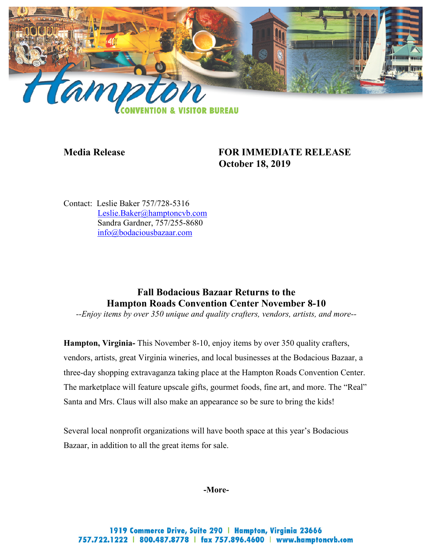

## **Media Release FOR IMMEDIATE RELEASE October 18, 2019**

Contact: Leslie Baker 757/728-5316 [Leslie.Baker@hamptoncvb.com](mailto:Leslie.Baker@hamptoncvb.com) Sandra Gardner, 757/255-8680 [info@bodaciousbazaar.com](mailto:info@bodaciousbazaar.com) 

# **Fall Bodacious Bazaar Returns to the Hampton Roads Convention Center November 8-10**

*--Enjoy items by over 350 unique and quality crafters, vendors, artists, and more--*

**Hampton, Virginia-** This November 8-10, enjoy items by over 350 quality crafters, vendors, artists, great Virginia wineries, and local businesses at the Bodacious Bazaar, a three-day shopping extravaganza taking place at the Hampton Roads Convention Center. The marketplace will feature upscale gifts, gourmet foods, fine art, and more. The "Real" Santa and Mrs. Claus will also make an appearance so be sure to bring the kids!

Several local nonprofit organizations will have booth space at this year's Bodacious Bazaar, in addition to all the great items for sale.

#### **-More-**